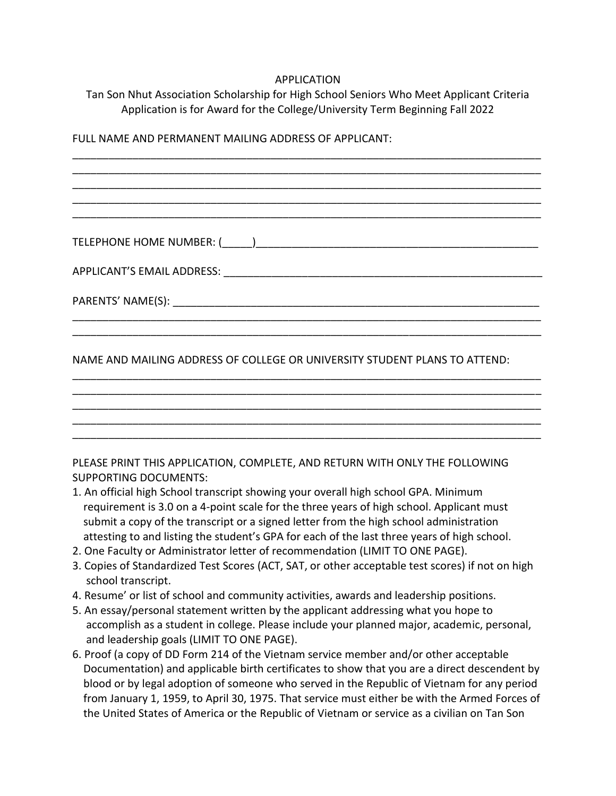## APPLICATION

Tan Son Nhut Association Scholarship for High School Seniors Who Meet Applicant Criteria Application is for Award for the College/University Term Beginning Fall 2022

\_\_\_\_\_\_\_\_\_\_\_\_\_\_\_\_\_\_\_\_\_\_\_\_\_\_\_\_\_\_\_\_\_\_\_\_\_\_\_\_\_\_\_\_\_\_\_\_\_\_\_\_\_\_\_\_\_\_\_\_\_\_\_\_\_\_\_\_\_\_\_\_\_\_\_\_\_\_ \_\_\_\_\_\_\_\_\_\_\_\_\_\_\_\_\_\_\_\_\_\_\_\_\_\_\_\_\_\_\_\_\_\_\_\_\_\_\_\_\_\_\_\_\_\_\_\_\_\_\_\_\_\_\_\_\_\_\_\_\_\_\_\_\_\_\_\_\_\_\_\_\_\_\_\_\_\_ \_\_\_\_\_\_\_\_\_\_\_\_\_\_\_\_\_\_\_\_\_\_\_\_\_\_\_\_\_\_\_\_\_\_\_\_\_\_\_\_\_\_\_\_\_\_\_\_\_\_\_\_\_\_\_\_\_\_\_\_\_\_\_\_\_\_\_\_\_\_\_\_\_\_\_\_\_\_ \_\_\_\_\_\_\_\_\_\_\_\_\_\_\_\_\_\_\_\_\_\_\_\_\_\_\_\_\_\_\_\_\_\_\_\_\_\_\_\_\_\_\_\_\_\_\_\_\_\_\_\_\_\_\_\_\_\_\_\_\_\_\_\_\_\_\_\_\_\_\_\_\_\_\_\_\_\_ \_\_\_\_\_\_\_\_\_\_\_\_\_\_\_\_\_\_\_\_\_\_\_\_\_\_\_\_\_\_\_\_\_\_\_\_\_\_\_\_\_\_\_\_\_\_\_\_\_\_\_\_\_\_\_\_\_\_\_\_\_\_\_\_\_\_\_\_\_\_\_\_\_\_\_\_\_\_

FULL NAME AND PERMANENT MAILING ADDRESS OF APPLICANT:

TELEPHONE HOME NUMBER: (\_\_\_\_\_)\_\_\_\_\_\_\_\_\_\_\_\_\_\_\_\_\_\_\_\_\_\_\_\_\_\_\_\_\_\_\_\_\_\_\_\_\_\_\_\_\_\_\_\_\_\_\_

APPLICANT'S EMAIL ADDRESS: \_\_\_\_\_\_\_\_\_\_\_\_\_\_\_\_\_\_\_\_\_\_\_\_\_\_\_\_\_\_\_\_\_\_\_\_\_\_\_\_\_\_\_\_\_\_\_\_\_\_\_\_\_

PARENTS' NAME(S):  $\blacksquare$ 

NAME AND MAILING ADDRESS OF COLLEGE OR UNIVERSITY STUDENT PLANS TO ATTEND:

\_\_\_\_\_\_\_\_\_\_\_\_\_\_\_\_\_\_\_\_\_\_\_\_\_\_\_\_\_\_\_\_\_\_\_\_\_\_\_\_\_\_\_\_\_\_\_\_\_\_\_\_\_\_\_\_\_\_\_\_\_\_\_\_\_\_\_\_\_\_\_\_\_\_\_\_\_\_ \_\_\_\_\_\_\_\_\_\_\_\_\_\_\_\_\_\_\_\_\_\_\_\_\_\_\_\_\_\_\_\_\_\_\_\_\_\_\_\_\_\_\_\_\_\_\_\_\_\_\_\_\_\_\_\_\_\_\_\_\_\_\_\_\_\_\_\_\_\_\_\_\_\_\_\_\_\_

\_\_\_\_\_\_\_\_\_\_\_\_\_\_\_\_\_\_\_\_\_\_\_\_\_\_\_\_\_\_\_\_\_\_\_\_\_\_\_\_\_\_\_\_\_\_\_\_\_\_\_\_\_\_\_\_\_\_\_\_\_\_\_\_\_\_\_\_\_\_\_\_\_\_\_\_\_\_ \_\_\_\_\_\_\_\_\_\_\_\_\_\_\_\_\_\_\_\_\_\_\_\_\_\_\_\_\_\_\_\_\_\_\_\_\_\_\_\_\_\_\_\_\_\_\_\_\_\_\_\_\_\_\_\_\_\_\_\_\_\_\_\_\_\_\_\_\_\_\_\_\_\_\_\_\_\_ \_\_\_\_\_\_\_\_\_\_\_\_\_\_\_\_\_\_\_\_\_\_\_\_\_\_\_\_\_\_\_\_\_\_\_\_\_\_\_\_\_\_\_\_\_\_\_\_\_\_\_\_\_\_\_\_\_\_\_\_\_\_\_\_\_\_\_\_\_\_\_\_\_\_\_\_\_\_ \_\_\_\_\_\_\_\_\_\_\_\_\_\_\_\_\_\_\_\_\_\_\_\_\_\_\_\_\_\_\_\_\_\_\_\_\_\_\_\_\_\_\_\_\_\_\_\_\_\_\_\_\_\_\_\_\_\_\_\_\_\_\_\_\_\_\_\_\_\_\_\_\_\_\_\_\_\_ \_\_\_\_\_\_\_\_\_\_\_\_\_\_\_\_\_\_\_\_\_\_\_\_\_\_\_\_\_\_\_\_\_\_\_\_\_\_\_\_\_\_\_\_\_\_\_\_\_\_\_\_\_\_\_\_\_\_\_\_\_\_\_\_\_\_\_\_\_\_\_\_\_\_\_\_\_\_

PLEASE PRINT THIS APPLICATION, COMPLETE, AND RETURN WITH ONLY THE FOLLOWING SUPPORTING DOCUMENTS:

- 1. An official high School transcript showing your overall high school GPA. Minimum requirement is 3.0 on a 4-point scale for the three years of high school. Applicant must submit a copy of the transcript or a signed letter from the high school administration attesting to and listing the student's GPA for each of the last three years of high school.
- 2. One Faculty or Administrator letter of recommendation (LIMIT TO ONE PAGE).
- 3. Copies of Standardized Test Scores (ACT, SAT, or other acceptable test scores) if not on high school transcript.
- 4. Resume' or list of school and community activities, awards and leadership positions.
- 5. An essay/personal statement written by the applicant addressing what you hope to accomplish as a student in college. Please include your planned major, academic, personal, and leadership goals (LIMIT TO ONE PAGE).
- 6. Proof (a copy of DD Form 214 of the Vietnam service member and/or other acceptable Documentation) and applicable birth certificates to show that you are a direct descendent by blood or by legal adoption of someone who served in the Republic of Vietnam for any period from January 1, 1959, to April 30, 1975. That service must either be with the Armed Forces of the United States of America or the Republic of Vietnam or service as a civilian on Tan Son